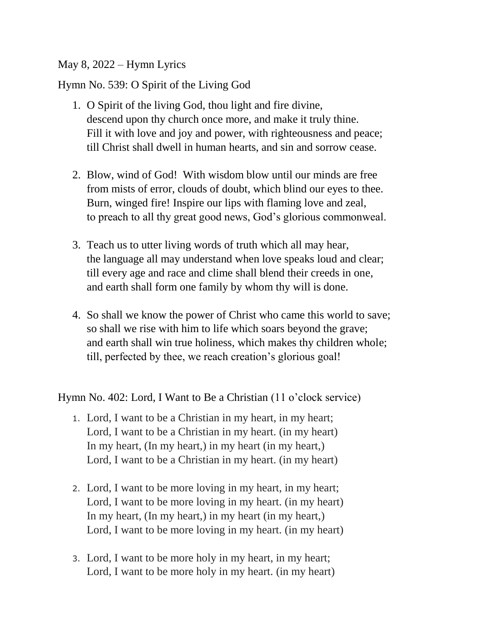## May 8, 2022 – Hymn Lyrics

Hymn No. 539: O Spirit of the Living God

- 1. O Spirit of the living God, thou light and fire divine, descend upon thy church once more, and make it truly thine. Fill it with love and joy and power, with righteousness and peace; till Christ shall dwell in human hearts, and sin and sorrow cease.
- 2. Blow, wind of God! With wisdom blow until our minds are free from mists of error, clouds of doubt, which blind our eyes to thee. Burn, winged fire! Inspire our lips with flaming love and zeal, to preach to all thy great good news, God's glorious commonweal.
- 3. Teach us to utter living words of truth which all may hear, the language all may understand when love speaks loud and clear; till every age and race and clime shall blend their creeds in one, and earth shall form one family by whom thy will is done.
- 4. So shall we know the power of Christ who came this world to save; so shall we rise with him to life which soars beyond the grave; and earth shall win true holiness, which makes thy children whole; till, perfected by thee, we reach creation's glorious goal!

Hymn No. 402: Lord, I Want to Be a Christian (11 o'clock service)

- 1. Lord, I want to be a Christian in my heart, in my heart; Lord, I want to be a Christian in my heart. (in my heart) In my heart, (In my heart,) in my heart (in my heart,) Lord, I want to be a Christian in my heart. (in my heart)
- 2. Lord, I want to be more loving in my heart, in my heart; Lord, I want to be more loving in my heart. (in my heart) In my heart, (In my heart,) in my heart (in my heart,) Lord, I want to be more loving in my heart. (in my heart)
- 3. Lord, I want to be more holy in my heart, in my heart; Lord, I want to be more holy in my heart. (in my heart)